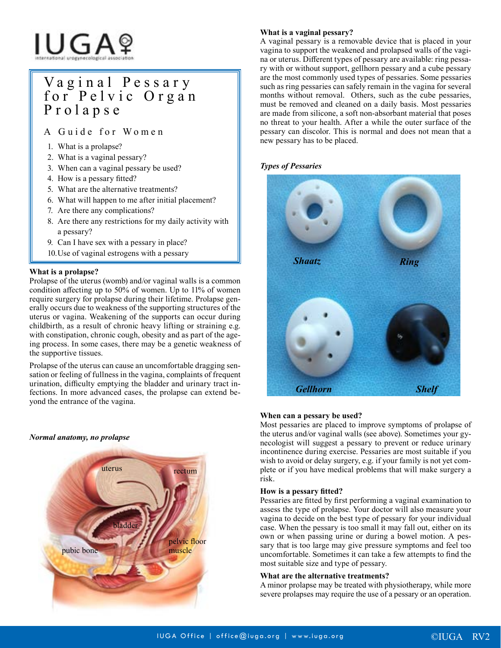# IUGAº

# V a g i n a l P e s s a r y for Pelvic Organ Prolapse

A Guide for Women

- 1. What is a prolapse?
- 2. What is a vaginal pessary?
- 3. When can a vaginal pessary be used?
- 4. How is a pessary fitted?
- 5. What are the alternative treatments?
- 6. What will happen to me after initial placement?
- 7. Are there any complications?
- 8. Are there any restrictions for my daily activity with a pessary?
- 9. Can I have sex with a pessary in place?
- 10.Use of vaginal estrogens with a pessary

# **What is a prolapse?**

Prolapse of the uterus (womb) and/or vaginal walls is a common condition affecting up to 50% of women. Up to 11% of women require surgery for prolapse during their lifetime. Prolapse generally occurs due to weakness of the supporting structures of the uterus or vagina. Weakening of the supports can occur during childbirth, as a result of chronic heavy lifting or straining e.g. with constipation, chronic cough, obesity and as part of the ageing process. In some cases, there may be a genetic weakness of the supportive tissues.

Prolapse of the uterus can cause an uncomfortable dragging sensation or feeling of fullness in the vagina, complaints of frequent urination, difficulty emptying the bladder and urinary tract infections. In more advanced cases, the prolapse can extend beyond the entrance of the vagina.

### *Normal anatomy, no prolapse*



# **What is a vaginal pessary?**

A vaginal pessary is a removable device that is placed in your vagina to support the weakened and prolapsed walls of the vagina or uterus. Different types of pessary are available: ring pessary with or without support, gellhorn pessary and a cube pessary are the most commonly used types of pessaries. Some pessaries such as ring pessaries can safely remain in the vagina for several months without removal. Others, such as the cube pessaries, must be removed and cleaned on a daily basis. Most pessaries are made from silicone, a soft non-absorbant material that poses no threat to your health. After a while the outer surface of the pessary can discolor. This is normal and does not mean that a new pessary has to be placed.

# *Types of Pessaries*



#### **When can a pessary be used?**

Most pessaries are placed to improve symptoms of prolapse of the uterus and/or vaginal walls (see above). Sometimes your gynecologist will suggest a pessary to prevent or reduce urinary incontinence during exercise. Pessaries are most suitable if you wish to avoid or delay surgery, e.g. if your family is not yet complete or if you have medical problems that will make surgery a risk.

#### **How is a pessary fitted?**

Pessaries are fitted by first performing a vaginal examination to assess the type of prolapse. Your doctor will also measure your vagina to decide on the best type of pessary for your individual case. When the pessary is too small it may fall out, either on its own or when passing urine or during a bowel motion. A pessary that is too large may give pressure symptoms and feel too uncomfortable. Sometimes it can take a few attempts to find the most suitable size and type of pessary.

#### **What are the alternative treatments?**

A minor prolapse may be treated with physiotherapy, while more severe prolapses may require the use of a pessary or an operation.